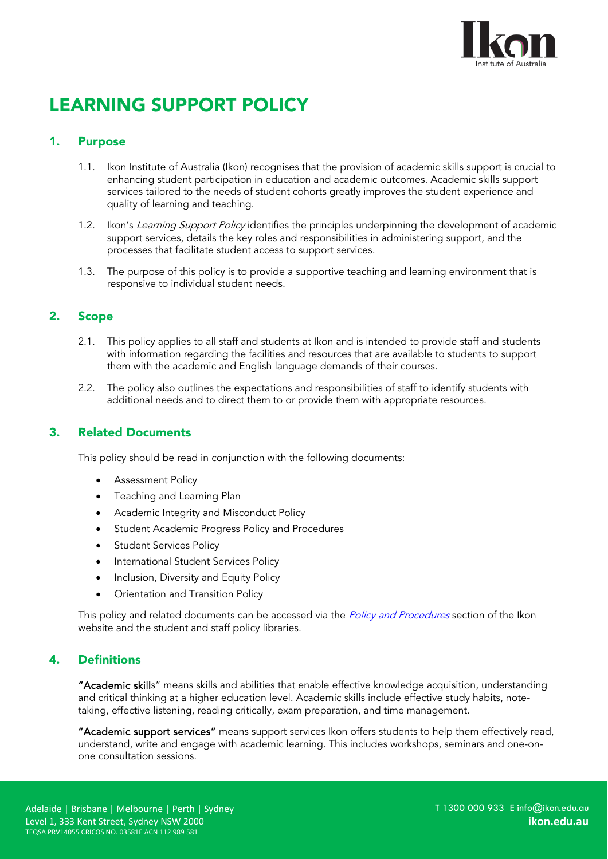

# LEARNING SUPPORT POLICY

# 1. Purpose

- 1.1. Ikon Institute of Australia (Ikon) recognises that the provision of academic skills support is crucial to enhancing student participation in education and academic outcomes. Academic skills support services tailored to the needs of student cohorts greatly improves the student experience and quality of learning and teaching.
- 1.2. Ikon's Learning Support Policy identifies the principles underpinning the development of academic support services, details the key roles and responsibilities in administering support, and the processes that facilitate student access to support services.
- 1.3. The purpose of this policy is to provide a supportive teaching and learning environment that is responsive to individual student needs.

# 2. Scope

- 2.1. This policy applies to all staff and students at Ikon and is intended to provide staff and students with information regarding the facilities and resources that are available to students to support them with the academic and English language demands of their courses.
- 2.2. The policy also outlines the expectations and responsibilities of staff to identify students with additional needs and to direct them to or provide them with appropriate resources.

# 3. Related Documents

This policy should be read in conjunction with the following documents:

- Assessment Policy
- Teaching and Learning Plan
- Academic Integrity and Misconduct Policy
- Student Academic Progress Policy and Procedures
- Student Services Policy
- International Student Services Policy
- Inclusion, Diversity and Equity Policy
- Orientation and Transition Policy

This policy and related documents can be accessed via the *[Policy and Procedures](https://ikon.edu.au/policies-procedures/)* section of the Ikon website and the student and staff policy libraries.

# 4. Definitions

"Academic skills" means skills and abilities that enable effective knowledge acquisition, understanding and critical thinking at a higher education level. Academic skills include effective study habits, notetaking, effective listening, reading critically, exam preparation, and time management.

"Academic support services" means support services Ikon offers students to help them effectively read, understand, write and engage with academic learning. This includes workshops, seminars and one-onone consultation sessions.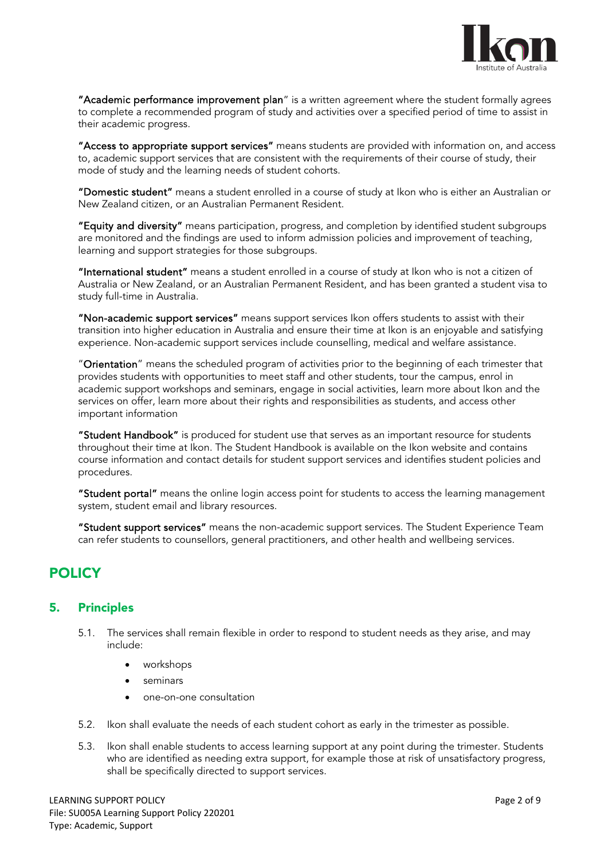

"Academic performance improvement plan" is a written agreement where the student formally agrees to complete a recommended program of study and activities over a specified period of time to assist in their academic progress.

"Access to appropriate support services" means students are provided with information on, and access to, academic support services that are consistent with the requirements of their course of study, their mode of study and the learning needs of student cohorts.

"Domestic student" means a student enrolled in a course of study at Ikon who is either an Australian or New Zealand citizen, or an Australian Permanent Resident.

"Equity and diversity" means participation, progress, and completion by identified student subgroups are monitored and the findings are used to inform admission policies and improvement of teaching, learning and support strategies for those subgroups.

"International student" means a student enrolled in a course of study at Ikon who is not a citizen of Australia or New Zealand, or an Australian Permanent Resident, and has been granted a student visa to study full-time in Australia.

"Non-academic support services" means support services Ikon offers students to assist with their transition into higher education in Australia and ensure their time at Ikon is an enjoyable and satisfying experience. Non-academic support services include counselling, medical and welfare assistance.

"Orientation" means the scheduled program of activities prior to the beginning of each trimester that provides students with opportunities to meet staff and other students, tour the campus, enrol in academic support workshops and seminars, engage in social activities, learn more about Ikon and the services on offer, learn more about their rights and responsibilities as students, and access other important information

"Student Handbook" is produced for student use that serves as an important resource for students throughout their time at Ikon. The Student Handbook is available on the Ikon website and contains course information and contact details for student support services and identifies student policies and procedures.

"Student portal" means the online login access point for students to access the learning management system, student email and library resources.

"Student support services" means the non-academic support services. The Student Experience Team can refer students to counsellors, general practitioners, and other health and wellbeing services.

# POLICY

# 5. Principles

- 5.1. The services shall remain flexible in order to respond to student needs as they arise, and may include:
	- workshops
	- seminars
	- one-on-one consultation
- 5.2. Ikon shall evaluate the needs of each student cohort as early in the trimester as possible.
- 5.3. Ikon shall enable students to access learning support at any point during the trimester. Students who are identified as needing extra support, for example those at risk of unsatisfactory progress, shall be specifically directed to support services.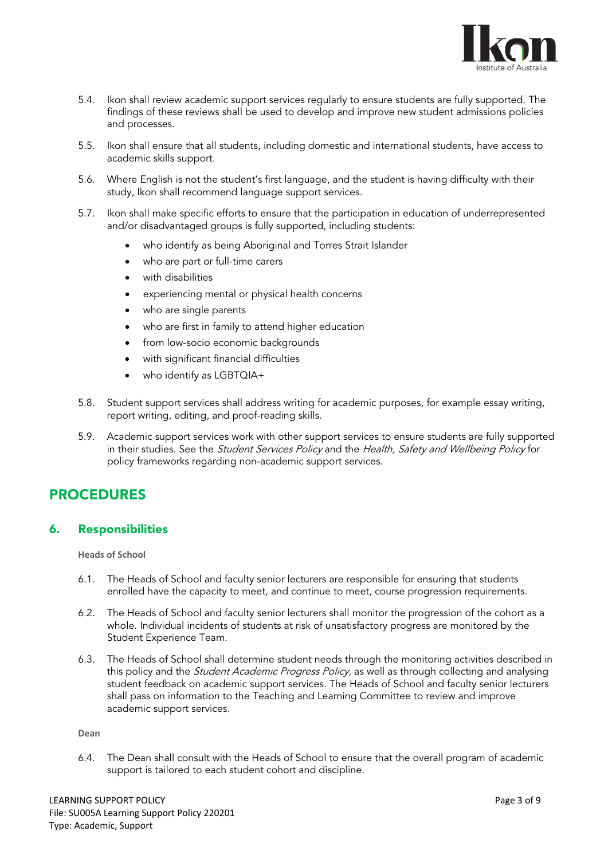

- 5.4. Ikon shall review academic support services regularly to ensure students are fully supported. The findings of these reviews shall be used to develop and improve new student admissions policies and processes.
- 5.5. Ikon shall ensure that all students, including domestic and international students, have access to academic skills support.
- 5.6. Where English is not the student's first language, and the student is having difficulty with their study, Ikon shall recommend language support services.
- 5.7. Ikon shall make specific efforts to ensure that the participation in education of underrepresented and/or disadvantaged groups is fully supported, including students:
	- who identify as being Aboriginal and Torres Strait Islander
	- who are part or full-time carers
	- with disabilities
	- experiencing mental or physical health concerns
	- who are single parents
	- who are first in family to attend higher education
	- from low-socio economic backgrounds
	- with significant financial difficulties
	- who identify as LGBTQIA+
- 5.8. Student support services shall address writing for academic purposes, for example essay writing, report writing, editing, and proof-reading skills.
- 5.9. Academic support services work with other support services to ensure students are fully supported in their studies. See the Student Services Policy and the Health, Safety and Wellbeing Policy for policy frameworks regarding non-academic support services.

# PROCEDURES

### 6. Responsibilities

**Heads of School**

- 6.1. The Heads of School and faculty senior lecturers are responsible for ensuring that students enrolled have the capacity to meet, and continue to meet, course progression requirements.
- 6.2. The Heads of School and faculty senior lecturers shall monitor the progression of the cohort as a whole. Individual incidents of students at risk of unsatisfactory progress are monitored by the Student Experience Team.
- 6.3. The Heads of School shall determine student needs through the monitoring activities described in this policy and the *Student Academic Progress Policy*, as well as through collecting and analysing student feedback on academic support services. The Heads of School and faculty senior lecturers shall pass on information to the Teaching and Learning Committee to review and improve academic support services.

#### **Dean**

6.4. The Dean shall consult with the Heads of School to ensure that the overall program of academic support is tailored to each student cohort and discipline.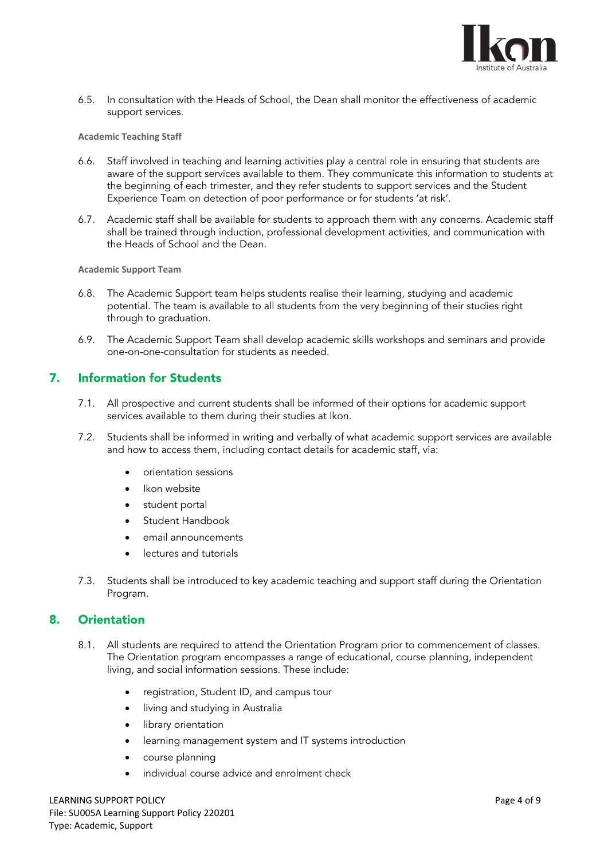

6.5. In consultation with the Heads of School, the Dean shall monitor the effectiveness of academic support services.

#### **Academic Teaching Staff**

- 6.6. Staff involved in teaching and learning activities play a central role in ensuring that students are aware of the support services available to them. They communicate this information to students at the beginning of each trimester, and they refer students to support services and the Student Experience Team on detection of poor performance or for students 'at risk'.
- 6.7. Academic staff shall be available for students to approach them with any concerns. Academic staff shall be trained through induction, professional development activities, and communication with the Heads of School and the Dean.

#### **Academic Support Team**

- 6.8. The Academic Support team helps students realise their learning, studying and academic potential. The team is available to all students from the very beginning of their studies right through to graduation.
- 6.9. The Academic Support Team shall develop academic skills workshops and seminars and provide one-on-one-consultation for students as needed.

# 7. Information for Students

- 7.1. All prospective and current students shall be informed of their options for academic support services available to them during their studies at Ikon.
- 7.2. Students shall be informed in writing and verbally of what academic support services are available and how to access them, including contact details for academic staff, via:
	- orientation sessions
	- Ikon website
	- student portal
	- Student Handbook
	- email announcements
	- lectures and tutorials
- 7.3. Students shall be introduced to key academic teaching and support staff during the Orientation Program.

### 8. Orientation

- 8.1. All students are required to attend the Orientation Program prior to commencement of classes. The Orientation program encompasses a range of educational, course planning, independent living, and social information sessions. These include:
	- registration, Student ID, and campus tour
	- living and studying in Australia
	- library orientation
	- learning management system and IT systems introduction
	- course planning
	- individual course advice and enrolment check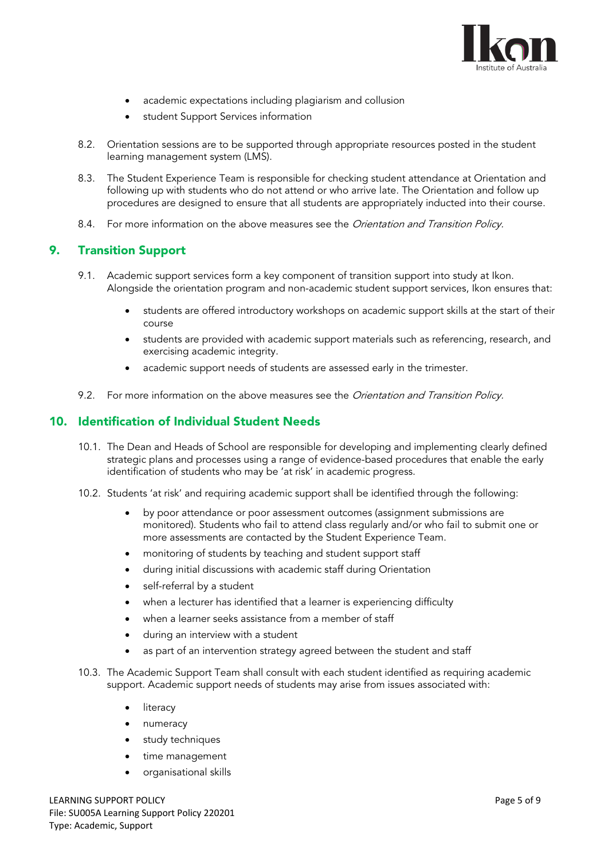

- academic expectations including plagiarism and collusion
- student Support Services information
- 8.2. Orientation sessions are to be supported through appropriate resources posted in the student learning management system (LMS).
- 8.3. The Student Experience Team is responsible for checking student attendance at Orientation and following up with students who do not attend or who arrive late. The Orientation and follow up procedures are designed to ensure that all students are appropriately inducted into their course.
- 8.4. For more information on the above measures see the *Orientation and Transition Policy.*

### 9. Transition Support

- 9.1. Academic support services form a key component of transition support into study at Ikon. Alongside the orientation program and non-academic student support services, Ikon ensures that:
	- students are offered introductory workshops on academic support skills at the start of their course
	- students are provided with academic support materials such as referencing, research, and exercising academic integrity.
	- academic support needs of students are assessed early in the trimester.
- 9.2. For more information on the above measures see the Orientation and Transition Policy.

### 10. Identification of Individual Student Needs

- 10.1. The Dean and Heads of School are responsible for developing and implementing clearly defined strategic plans and processes using a range of evidence-based procedures that enable the early identification of students who may be 'at risk' in academic progress.
- 10.2. Students 'at risk' and requiring academic support shall be identified through the following:
	- by poor attendance or poor assessment outcomes (assignment submissions are monitored). Students who fail to attend class regularly and/or who fail to submit one or more assessments are contacted by the Student Experience Team.
	- monitoring of students by teaching and student support staff
	- during initial discussions with academic staff during Orientation
	- self-referral by a student
	- when a lecturer has identified that a learner is experiencing difficulty
	- when a learner seeks assistance from a member of staff
	- during an interview with a student
	- as part of an intervention strategy agreed between the student and staff
- 10.3. The Academic Support Team shall consult with each student identified as requiring academic support. Academic support needs of students may arise from issues associated with:
	- literacy
	- numeracy
	- study techniques
	- time management
	- organisational skills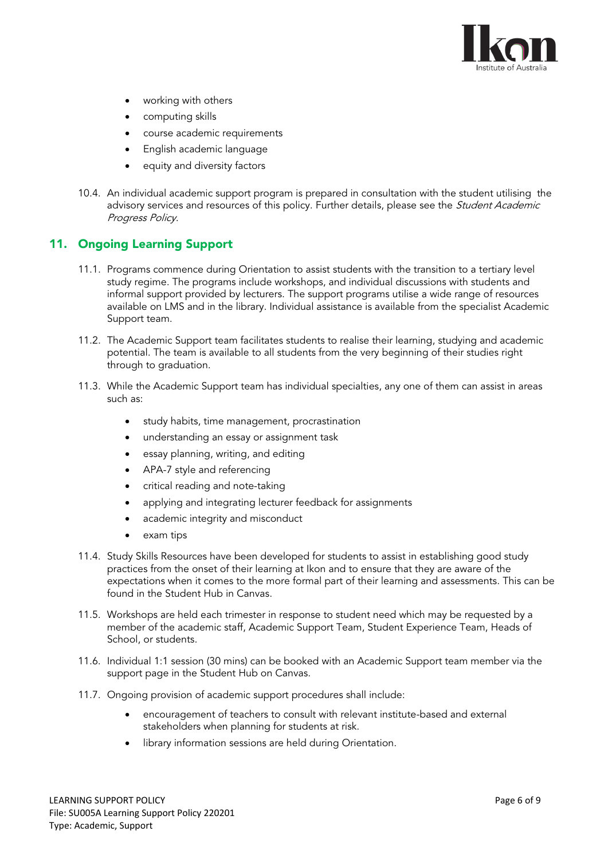

- working with others
- computing skills
- course academic requirements
- English academic language
- equity and diversity factors
- 10.4. An individual academic support program is prepared in consultation with the student utilising the advisory services and resources of this policy. Further details, please see the *Student Academic* Progress Policy.

# 11. Ongoing Learning Support

- 11.1. Programs commence during Orientation to assist students with the transition to a tertiary level study regime. The programs include workshops, and individual discussions with students and informal support provided by lecturers. The support programs utilise a wide range of resources available on LMS and in the library. Individual assistance is available from the specialist Academic Support team.
- 11.2. The Academic Support team facilitates students to realise their learning, studying and academic potential. The team is available to all students from the very beginning of their studies right through to graduation.
- 11.3. While the Academic Support team has individual specialties, any one of them can assist in areas such as:
	- study habits, time management, procrastination
	- understanding an essay or assignment task
	- essay planning, writing, and editing
	- APA-7 style and referencing
	- critical reading and note-taking
	- applying and integrating lecturer feedback for assignments
	- academic integrity and misconduct
	- exam tips
- 11.4. Study Skills Resources have been developed for students to assist in establishing good study practices from the onset of their learning at Ikon and to ensure that they are aware of the expectations when it comes to the more formal part of their learning and assessments. This can be found in the Student Hub in Canvas.
- 11.5. Workshops are held each trimester in response to student need which may be requested by a member of the academic staff, Academic Support Team, Student Experience Team, Heads of School, or students.
- 11.6. Individual 1:1 session (30 mins) can be booked with an Academic Support team member via the support page in the Student Hub on Canvas.
- 11.7. Ongoing provision of academic support procedures shall include:
	- encouragement of teachers to consult with relevant institute-based and external stakeholders when planning for students at risk.
	- library information sessions are held during Orientation.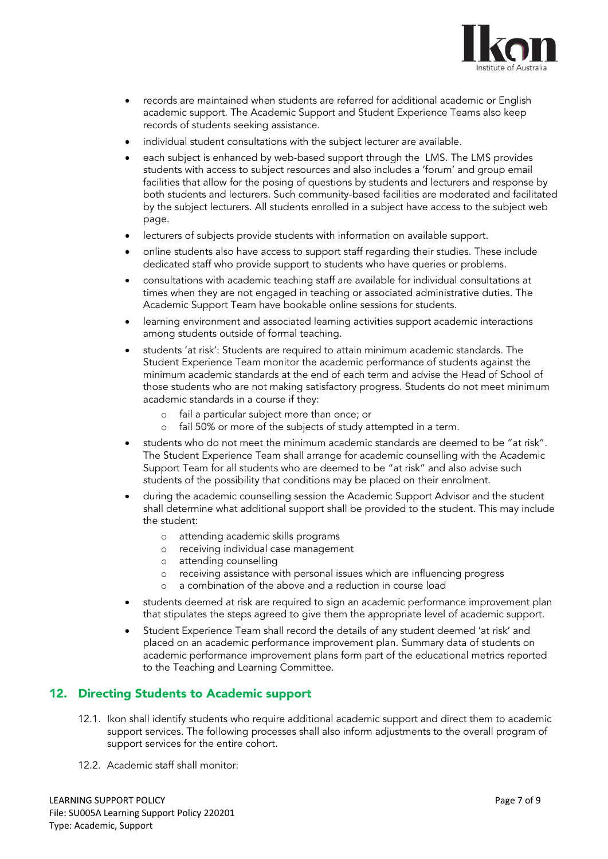

- records are maintained when students are referred for additional academic or English academic support. The Academic Support and Student Experience Teams also keep records of students seeking assistance.
- individual student consultations with the subject lecturer are available.
- each subject is enhanced by web-based support through the LMS. The LMS provides students with access to subject resources and also includes a 'forum' and group email facilities that allow for the posing of questions by students and lecturers and response by both students and lecturers. Such community-based facilities are moderated and facilitated by the subject lecturers. All students enrolled in a subject have access to the subject web page.
- lecturers of subjects provide students with information on available support.
- online students also have access to support staff regarding their studies. These include dedicated staff who provide support to students who have queries or problems.
- consultations with academic teaching staff are available for individual consultations at times when they are not engaged in teaching or associated administrative duties. The Academic Support Team have bookable online sessions for students.
- learning environment and associated learning activities support academic interactions among students outside of formal teaching.
- students 'at risk': Students are required to attain minimum academic standards. The Student Experience Team monitor the academic performance of students against the minimum academic standards at the end of each term and advise the Head of School of those students who are not making satisfactory progress. Students do not meet minimum academic standards in a course if they:
	- fail a particular subject more than once; or
	- o fail 50% or more of the subjects of study attempted in a term.
- students who do not meet the minimum academic standards are deemed to be "at risk". The Student Experience Team shall arrange for academic counselling with the Academic Support Team for all students who are deemed to be "at risk" and also advise such students of the possibility that conditions may be placed on their enrolment.
- during the academic counselling session the Academic Support Advisor and the student shall determine what additional support shall be provided to the student. This may include the student:
	- o attending academic skills programs
	- o receiving individual case management
	- o attending counselling
	- o receiving assistance with personal issues which are influencing progress
	- o a combination of the above and a reduction in course load
- students deemed at risk are required to sign an academic performance improvement plan that stipulates the steps agreed to give them the appropriate level of academic support.
- Student Experience Team shall record the details of any student deemed 'at risk' and placed on an academic performance improvement plan. Summary data of students on academic performance improvement plans form part of the educational metrics reported to the Teaching and Learning Committee.

# 12. Directing Students to Academic support

- 12.1. Ikon shall identify students who require additional academic support and direct them to academic support services. The following processes shall also inform adjustments to the overall program of support services for the entire cohort.
- 12.2. Academic staff shall monitor: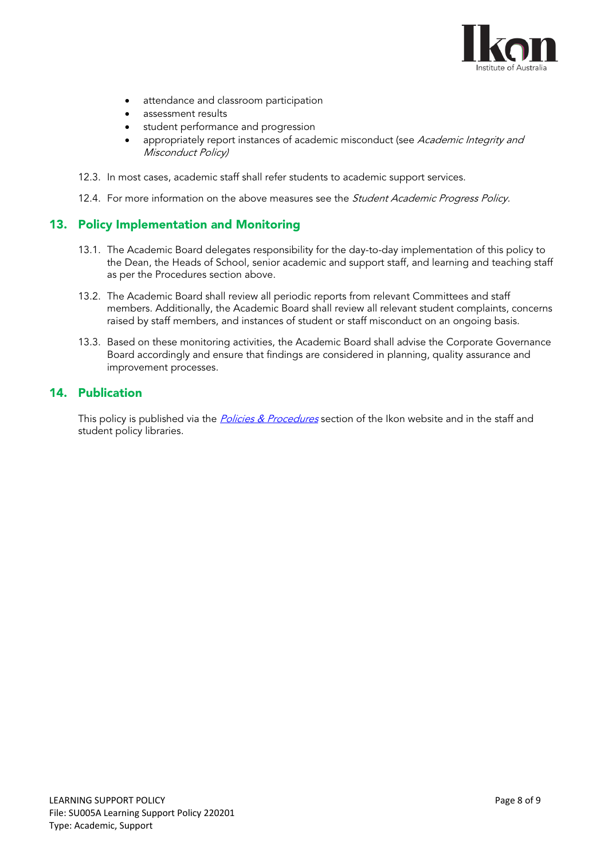

- attendance and classroom participation
- assessment results
- student performance and progression
- appropriately report instances of academic misconduct (see Academic Integrity and Misconduct Policy)
- 12.3. In most cases, academic staff shall refer students to academic support services.
- 12.4. For more information on the above measures see the Student Academic Progress Policy.

### 13. Policy Implementation and Monitoring

- 13.1. The Academic Board delegates responsibility for the day-to-day implementation of this policy to the Dean, the Heads of School, senior academic and support staff, and learning and teaching staff as per the Procedures section above.
- 13.2. The Academic Board shall review all periodic reports from relevant Committees and staff members. Additionally, the Academic Board shall review all relevant student complaints, concerns raised by staff members, and instances of student or staff misconduct on an ongoing basis.
- 13.3. Based on these monitoring activities, the Academic Board shall advise the Corporate Governance Board accordingly and ensure that findings are considered in planning, quality assurance and improvement processes.

### 14. Publication

This policy is published via the *[Policies & Procedures](https://ikon.edu.au/policies-procedures/)* section of the Ikon website and in the staff and student policy libraries.